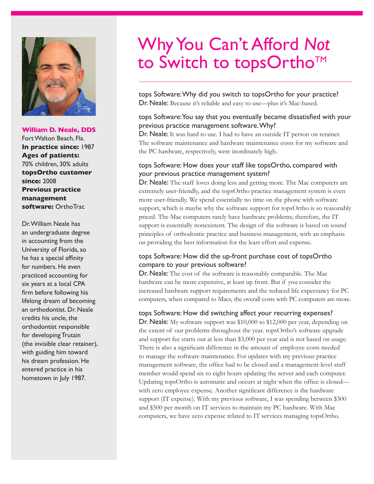

#### **William D. Neale, DDS**

Fort Walton Beach, Fla. **In practice since:** 1987 **Ages of patients:**  70% children, 30% adults **topsOrtho customer since:** 2008 **Previous practice management software:** OrthoTrac

Dr. William Neale has an undergraduate degree in accounting from the University of Florida, so he has a special affinity for numbers. He even practiced accounting for six years at a local CPA firm before following his lifelong dream of becoming an orthodontist. Dr. Neale credits his uncle, the orthodontist responsible for developing Trutain (the invisible clear retainer), with guiding him toward his dream profession. He entered practice in his hometown in July 1987.

# Why You Can't Afford *Not* to Switch to topsOrtho™

tops Software: Why did you switch to topsOrtho for your practice? Dr. Neale: Because it's reliable and easy to use—plus it's Mac-based.

### tops Software: You say that you eventually became dissatisfied with your previous practice management software. Why?

Dr. Neale: It was hard to use. I had to have an outside IT person on retainer. The software maintenance and hardware maintenance costs for my software and the PC hardware, respectively, were inordinately high.

### tops Software: How does your staff like topsOrtho, compared with your previous practice management system?

Dr. Neale: The staff loves doing less and getting more. The Mac computers are extremely user-friendly, and the topsOrtho practice management system is even more user-friendly. We spend essentially no time on the phone with software support, which is maybe why the software support for topsOrtho is so reasonably priced. The Mac computers rarely have hardware problems; therefore, the IT support is essentially nonexistent. The design of the software is based on sound principles of orthodontic practice and business management, with an emphasis on providing the best information for the least effort and expense.

## tops Software: How did the up-front purchase cost of topsOrtho compare to your previous software?

Dr. Neale: The cost of the software is reasonably comparable. The Mac hardware can be more expensive, at least up front. But if you consider the increased hardware support requirements and the reduced life expectancy for PC computers, when compared to Macs, the overall costs with PC computers are more.

#### tops Software: How did switching affect your recurring expenses?

Dr. Neale: My software support was \$10,000 to \$12,000 per year, depending on the extent of our problems throughout the year. topsOrtho's software upgrade and support fee starts out at less than \$3,000 per year and is not based on usage. There is also a significant difference in the amount of employee costs needed to manage the software maintenance. For updates with my previous practice management software, the office had to be closed and a management-level staff member would spend six to eight hours updating the server and each computer. Updating topsOrtho is automatic and occurs at night when the office is closed with zero employee expense. Another significant difference is the hardware support (IT expense). With my previous software, I was spending between \$300 and \$500 per month on IT services to maintain my PC hardware. With Mac computers, we have zero expense related to IT services managing topsOrtho.